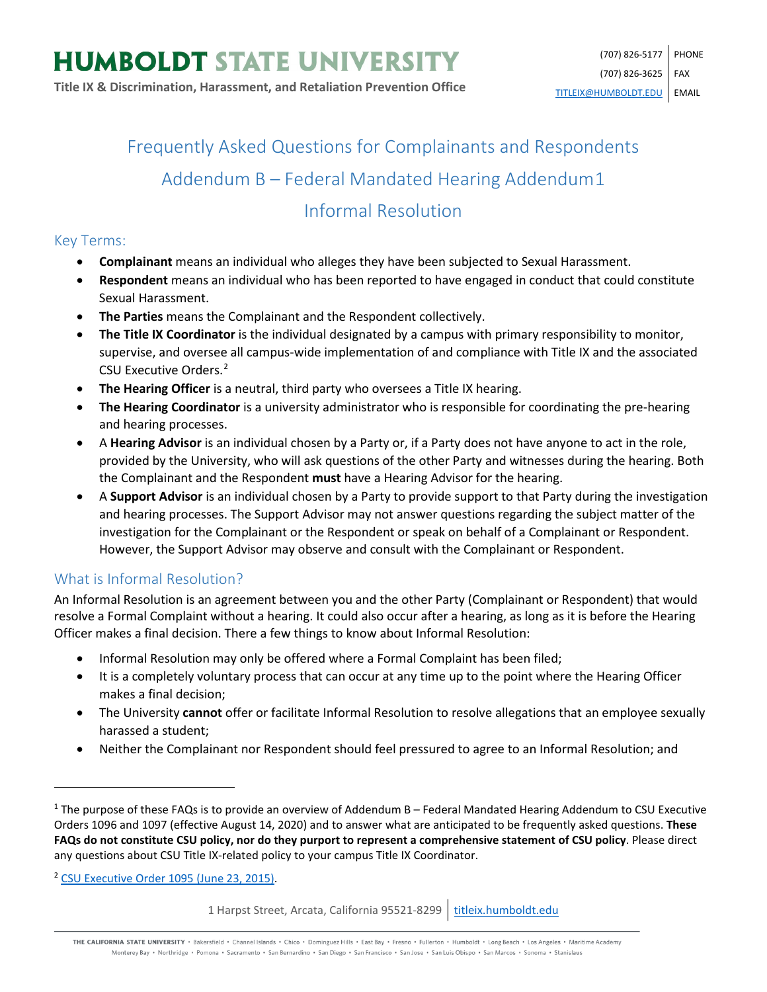# Frequently Asked Questions for Complainants and Respondents Addendum B – Federal Mandated Hearing Addendum[1](#page-0-0) Informal Resolution

## Key Terms:

- **Complainant** means an individual who alleges they have been subjected to Sexual Harassment.
- **Respondent** means an individual who has been reported to have engaged in conduct that could constitute Sexual Harassment.
- **The Parties** means the Complainant and the Respondent collectively.
- **The Title IX Coordinator** is the individual designated by a campus with primary responsibility to monitor, supervise, and oversee all campus-wide implementation of and compliance with Title IX and the associated CSU Executive Orders.[2](#page-0-1)
- **The Hearing Officer** is a neutral, third party who oversees a Title IX hearing.
- **The Hearing Coordinator** is a university administrator who is responsible for coordinating the pre-hearing and hearing processes.
- A **Hearing Advisor** is an individual chosen by a Party or, if a Party does not have anyone to act in the role, provided by the University, who will ask questions of the other Party and witnesses during the hearing. Both the Complainant and the Respondent **must** have a Hearing Advisor for the hearing.
- A **Support Advisor** is an individual chosen by a Party to provide support to that Party during the investigation and hearing processes. The Support Advisor may not answer questions regarding the subject matter of the investigation for the Complainant or the Respondent or speak on behalf of a Complainant or Respondent. However, the Support Advisor may observe and consult with the Complainant or Respondent.

# What is Informal Resolution?

An Informal Resolution is an agreement between you and the other Party (Complainant or Respondent) that would resolve a Formal Complaint without a hearing. It could also occur after a hearing, as long as it is before the Hearing Officer makes a final decision. There a few things to know about Informal Resolution:

- Informal Resolution may only be offered where a Formal Complaint has been filed;
- It is a completely voluntary process that can occur at any time up to the point where the Hearing Officer makes a final decision;
- The University **cannot** offer or facilitate Informal Resolution to resolve allegations that an employee sexually harassed a student;
- Neither the Complainant nor Respondent should feel pressured to agree to an Informal Resolution; and

<span id="page-0-1"></span><sup>2</sup> [CSU Executive Order 1095 \(June 23, 2015\).](https://calstate.policystat.com/policy/6741651/latest/)

 $\overline{\phantom{a}}$ 

THE CALIFORNIA STATE UNIVERSITY · Bakersfield · Channel Islands · Chico · Dominguez Hills · East Bay · Fresno · Fullerton · Humboldt · Long Beach · Los Angeles · Maritime Academy Monterey Bay . Northridge . Pomona . Sacramento . San Bernardino . San Diego . San Francisco . San Jose . San Luis Obispo . San Marcos . Sonoma . Stanislaus

<span id="page-0-0"></span> $1$  The purpose of these FAQs is to provide an overview of Addendum B – Federal Mandated Hearing Addendum to CSU Executive Orders 1096 and 1097 (effective August 14, 2020) and to answer what are anticipated to be frequently asked questions. **These FAQs do not constitute CSU policy, nor do they purport to represent a comprehensive statement of CSU policy**. Please direct any questions about CSU Title IX-related policy to your campus Title IX Coordinator.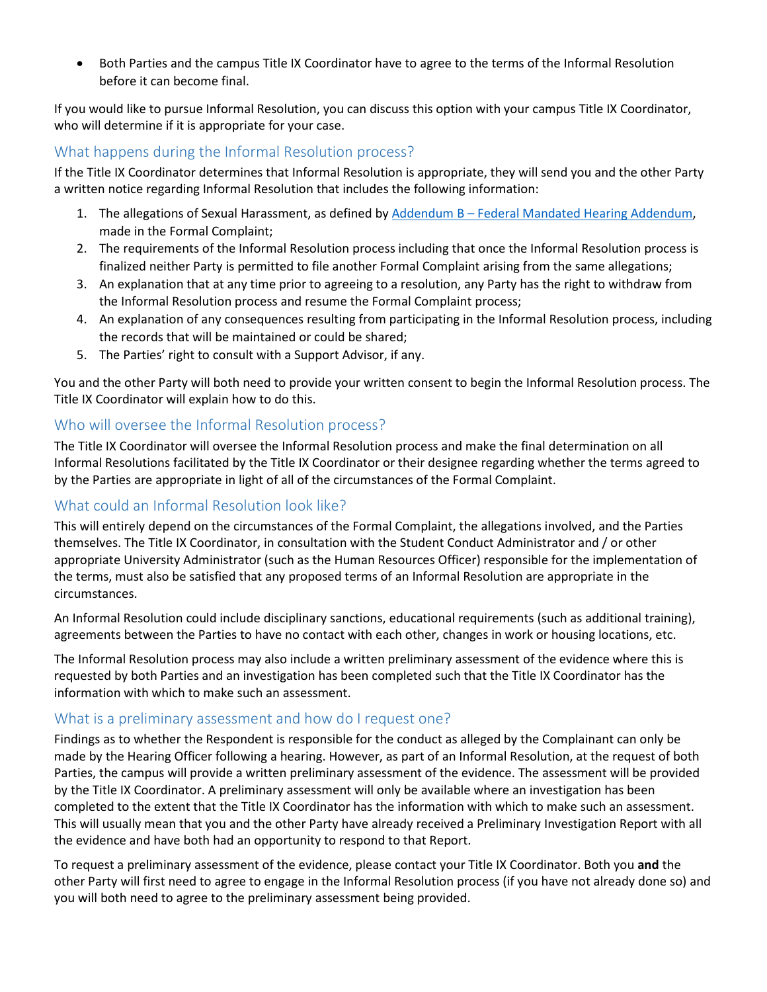• Both Parties and the campus Title IX Coordinator have to agree to the terms of the Informal Resolution before it can become final.

If you would like to pursue Informal Resolution, you can discuss this option with your campus Title IX Coordinator, who will determine if it is appropriate for your case.

## What happens during the Informal Resolution process?

If the Title IX Coordinator determines that Informal Resolution is appropriate, they will send you and the other Party a written notice regarding Informal Resolution that includes the following information:

- 1. The allegations of Sexual Harassment, as defined by Addendum B [Federal Mandated Hearing Addendum,](https://calstate.policystat.com/policy/8453516/latest/#autoid-b4kb9) made in the Formal Complaint;
- 2. The requirements of the Informal Resolution process including that once the Informal Resolution process is finalized neither Party is permitted to file another Formal Complaint arising from the same allegations;
- 3. An explanation that at any time prior to agreeing to a resolution, any Party has the right to withdraw from the Informal Resolution process and resume the Formal Complaint process;
- 4. An explanation of any consequences resulting from participating in the Informal Resolution process, including the records that will be maintained or could be shared;
- 5. The Parties' right to consult with a Support Advisor, if any.

You and the other Party will both need to provide your written consent to begin the Informal Resolution process. The Title IX Coordinator will explain how to do this.

## Who will oversee the Informal Resolution process?

The Title IX Coordinator will oversee the Informal Resolution process and make the final determination on all Informal Resolutions facilitated by the Title IX Coordinator or their designee regarding whether the terms agreed to by the Parties are appropriate in light of all of the circumstances of the Formal Complaint.

# What could an Informal Resolution look like?

This will entirely depend on the circumstances of the Formal Complaint, the allegations involved, and the Parties themselves. The Title IX Coordinator, in consultation with the Student Conduct Administrator and / or other appropriate University Administrator (such as the Human Resources Officer) responsible for the implementation of the terms, must also be satisfied that any proposed terms of an Informal Resolution are appropriate in the circumstances.

An Informal Resolution could include disciplinary sanctions, educational requirements (such as additional training), agreements between the Parties to have no contact with each other, changes in work or housing locations, etc.

The Informal Resolution process may also include a written preliminary assessment of the evidence where this is requested by both Parties and an investigation has been completed such that the Title IX Coordinator has the information with which to make such an assessment.

#### What is a preliminary assessment and how do I request one?

Findings as to whether the Respondent is responsible for the conduct as alleged by the Complainant can only be made by the Hearing Officer following a hearing. However, as part of an Informal Resolution, at the request of both Parties, the campus will provide a written preliminary assessment of the evidence. The assessment will be provided by the Title IX Coordinator. A preliminary assessment will only be available where an investigation has been completed to the extent that the Title IX Coordinator has the information with which to make such an assessment. This will usually mean that you and the other Party have already received a Preliminary Investigation Report with all the evidence and have both had an opportunity to respond to that Report.

To request a preliminary assessment of the evidence, please contact your Title IX Coordinator. Both you **and** the other Party will first need to agree to engage in the Informal Resolution process (if you have not already done so) and you will both need to agree to the preliminary assessment being provided.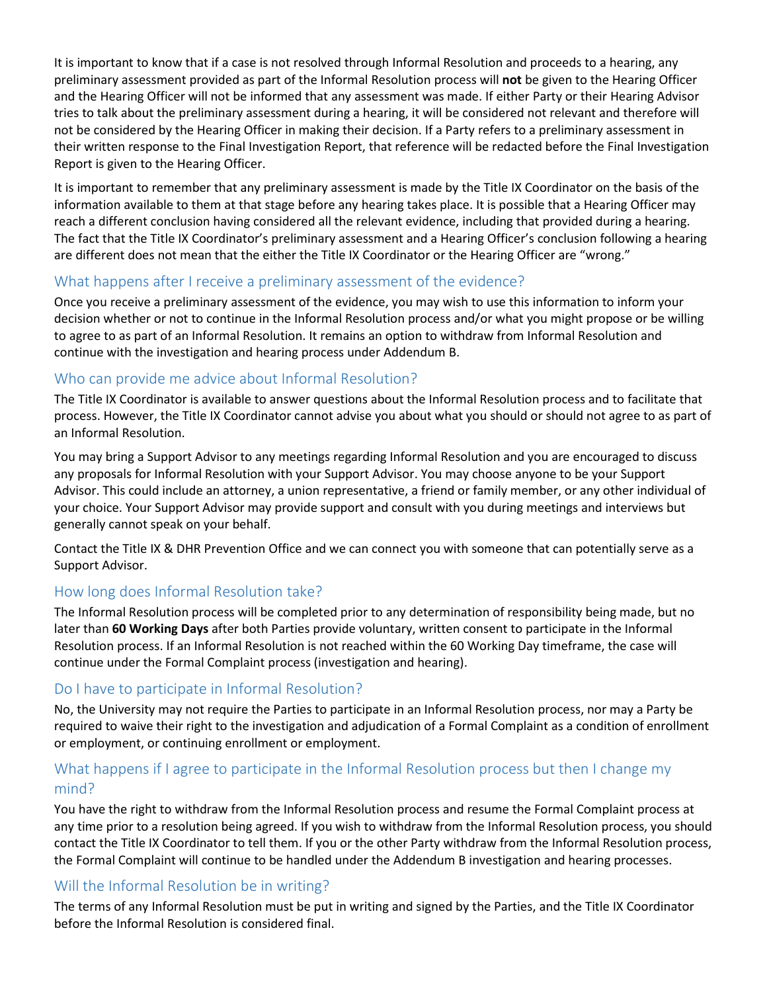It is important to know that if a case is not resolved through Informal Resolution and proceeds to a hearing, any preliminary assessment provided as part of the Informal Resolution process will **not** be given to the Hearing Officer and the Hearing Officer will not be informed that any assessment was made. If either Party or their Hearing Advisor tries to talk about the preliminary assessment during a hearing, it will be considered not relevant and therefore will not be considered by the Hearing Officer in making their decision. If a Party refers to a preliminary assessment in their written response to the Final Investigation Report, that reference will be redacted before the Final Investigation Report is given to the Hearing Officer.

It is important to remember that any preliminary assessment is made by the Title IX Coordinator on the basis of the information available to them at that stage before any hearing takes place. It is possible that a Hearing Officer may reach a different conclusion having considered all the relevant evidence, including that provided during a hearing. The fact that the Title IX Coordinator's preliminary assessment and a Hearing Officer's conclusion following a hearing are different does not mean that the either the Title IX Coordinator or the Hearing Officer are "wrong."

#### What happens after I receive a preliminary assessment of the evidence?

Once you receive a preliminary assessment of the evidence, you may wish to use this information to inform your decision whether or not to continue in the Informal Resolution process and/or what you might propose or be willing to agree to as part of an Informal Resolution. It remains an option to withdraw from Informal Resolution and continue with the investigation and hearing process under Addendum B.

#### Who can provide me advice about Informal Resolution?

The Title IX Coordinator is available to answer questions about the Informal Resolution process and to facilitate that process. However, the Title IX Coordinator cannot advise you about what you should or should not agree to as part of an Informal Resolution.

You may bring a Support Advisor to any meetings regarding Informal Resolution and you are encouraged to discuss any proposals for Informal Resolution with your Support Advisor. You may choose anyone to be your Support Advisor. This could include an attorney, a union representative, a friend or family member, or any other individual of your choice. Your Support Advisor may provide support and consult with you during meetings and interviews but generally cannot speak on your behalf.

Contact the Title IX & DHR Prevention Office and we can connect you with someone that can potentially serve as a Support Advisor.

#### How long does Informal Resolution take?

The Informal Resolution process will be completed prior to any determination of responsibility being made, but no later than **60 Working Days** after both Parties provide voluntary, written consent to participate in the Informal Resolution process. If an Informal Resolution is not reached within the 60 Working Day timeframe, the case will continue under the Formal Complaint process (investigation and hearing).

#### Do I have to participate in Informal Resolution?

No, the University may not require the Parties to participate in an Informal Resolution process, nor may a Party be required to waive their right to the investigation and adjudication of a Formal Complaint as a condition of enrollment or employment, or continuing enrollment or employment.

# What happens if I agree to participate in the Informal Resolution process but then I change my mind?

You have the right to withdraw from the Informal Resolution process and resume the Formal Complaint process at any time prior to a resolution being agreed. If you wish to withdraw from the Informal Resolution process, you should contact the Title IX Coordinator to tell them. If you or the other Party withdraw from the Informal Resolution process, the Formal Complaint will continue to be handled under the Addendum B investigation and hearing processes.

#### Will the Informal Resolution be in writing?

The terms of any Informal Resolution must be put in writing and signed by the Parties, and the Title IX Coordinator before the Informal Resolution is considered final.